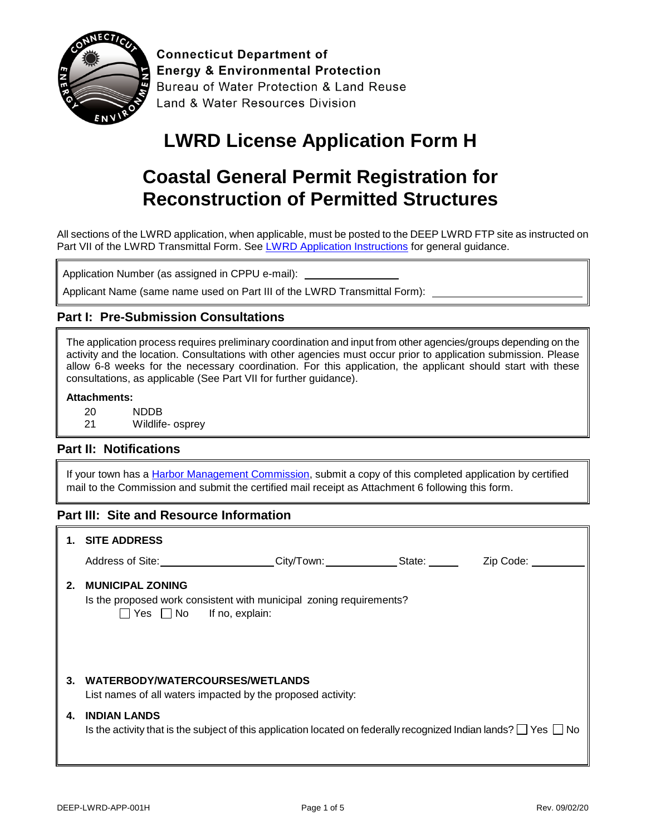

**Connecticut Department of Energy & Environmental Protection** Bureau of Water Protection & Land Reuse Land & Water Resources Division

## **LWRD License Application Form H**

## **Coastal General Permit Registration for Reconstruction of Permitted Structures**

All sections of the LWRD application, when applicable, must be posted to the DEEP LWRD FTP site as instructed on Part VII of the LWRD Transmittal Form. See [LWRD Application Instructions](https://www.ct.gov/deep/lib/deep/Permits_and_Licenses/Land_Use_Permits/LWRD/lwrd_inst.pdf) for general guidance.

Application Number (as assigned in CPPU e-mail):

Applicant Name (same name used on Part III of the LWRD Transmittal Form):

### **Part I: Pre-Submission Consultations**

The application process requires preliminary coordination and input from other agencies/groups depending on the activity and the location. Consultations with other agencies must occur prior to application submission. Please allow 6-8 weeks for the necessary coordination. For this application, the applicant should start with these consultations, as applicable (See Part VII for further guidance).

#### **Attachments:**

- 20 NDDB
- 21 Wildlife- osprey

### **Part II: Notifications**

If your town has a [Harbor Management Commission,](https://www.ct.gov/deep/lib/deep/Permits_and_Licenses/Land_Use_Permits/Long_Island_Sound_Permits/harbor_commission.pdf) submit a copy of this completed application by certified mail to the Commission and submit the certified mail receipt as Attachment 6 following this form.

### **Part III: Site and Resource Information**

|    | 1. SITE ADDRESS                                                                                                                                   |  |                          |
|----|---------------------------------------------------------------------------------------------------------------------------------------------------|--|--------------------------|
|    | Address of Site: City/Town: State:                                                                                                                |  | Zip Code: <u>_______</u> |
| 2. | <b>MUNICIPAL ZONING</b><br>Is the proposed work consistent with municipal zoning requirements?<br>$\Box$ Yes $\Box$ No If no, explain:            |  |                          |
| 3. | WATERBODY/WATERCOURSES/WETLANDS<br>List names of all waters impacted by the proposed activity:                                                    |  |                          |
| 4. | <b>INDIAN LANDS</b><br>Is the activity that is the subject of this application located on federally recognized Indian lands? $\Box$ Yes $\Box$ No |  |                          |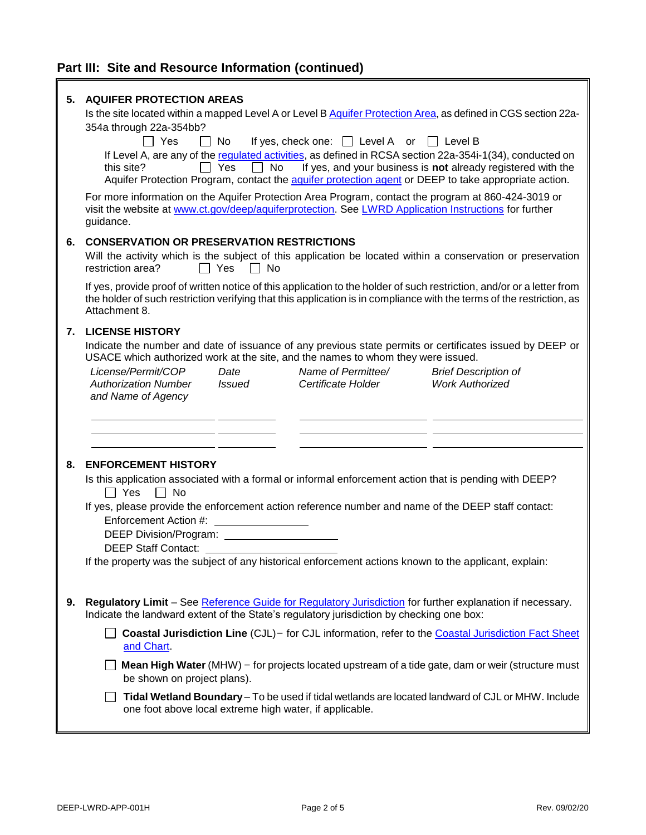# **Part III: Site and Resource Information (continued)**

| 5. | <b>AQUIFER PROTECTION AREAS</b>                                                                                                                                                                                                                                                                                    |
|----|--------------------------------------------------------------------------------------------------------------------------------------------------------------------------------------------------------------------------------------------------------------------------------------------------------------------|
|    | Is the site located within a mapped Level A or Level B Aquifer Protection Area, as defined in CGS section 22a-                                                                                                                                                                                                     |
|    | 354a through 22a-354bb?<br>If yes, check one: $\Box$ Level A or $\Box$ Level B<br>l I Yes<br>$\Box$ No                                                                                                                                                                                                             |
|    | If Level A, are any of the requiated activities, as defined in RCSA section 22a-354i-1(34), conducted on<br>No<br>If yes, and your business is not already registered with the<br>this site?<br>$\Box$ Yes<br>Aquifer Protection Program, contact the aquifer protection agent or DEEP to take appropriate action. |
|    | For more information on the Aquifer Protection Area Program, contact the program at 860-424-3019 or<br>visit the website at www.ct.gov/deep/aquiferprotection. See LWRD Application Instructions for further<br>guidance.                                                                                          |
| 6. | <b>CONSERVATION OR PRESERVATION RESTRICTIONS</b>                                                                                                                                                                                                                                                                   |
|    | Will the activity which is the subject of this application be located within a conservation or preservation<br>restriction area?<br>Yes<br>$\mathsf{L}$<br><b>No</b>                                                                                                                                               |
|    | If yes, provide proof of written notice of this application to the holder of such restriction, and/or or a letter from<br>the holder of such restriction verifying that this application is in compliance with the terms of the restriction, as<br>Attachment 8.                                                   |
| 7. | <b>LICENSE HISTORY</b>                                                                                                                                                                                                                                                                                             |
|    | Indicate the number and date of issuance of any previous state permits or certificates issued by DEEP or<br>USACE which authorized work at the site, and the names to whom they were issued.                                                                                                                       |
|    | License/Permit/COP<br>Name of Permittee/<br>Date<br><b>Brief Description of</b>                                                                                                                                                                                                                                    |
|    | <b>Work Authorized</b><br><b>Authorization Number</b><br>Certificate Holder<br>Issued<br>and Name of Agency                                                                                                                                                                                                        |
|    |                                                                                                                                                                                                                                                                                                                    |
|    |                                                                                                                                                                                                                                                                                                                    |
|    |                                                                                                                                                                                                                                                                                                                    |
| 8. | <b>ENFORCEMENT HISTORY</b><br>Is this application associated with a formal or informal enforcement action that is pending with DEEP?<br>$\Box$ Yes<br>$\Box$ No                                                                                                                                                    |
|    | If yes, please provide the enforcement action reference number and name of the DEEP staff contact:                                                                                                                                                                                                                 |
|    | Enforcement Action #:                                                                                                                                                                                                                                                                                              |
|    | <b>DEEP Staff Contact:</b>                                                                                                                                                                                                                                                                                         |
|    | If the property was the subject of any historical enforcement actions known to the applicant, explain:                                                                                                                                                                                                             |
|    |                                                                                                                                                                                                                                                                                                                    |
| 9. | Regulatory Limit - See Reference Guide for Regulatory Jurisdiction for further explanation if necessary.<br>Indicate the landward extent of the State's regulatory jurisdiction by checking one box:                                                                                                               |
|    | Coastal Jurisdiction Line (CJL) - for CJL information, refer to the Coastal Jurisdiction Fact Sheet<br>and Chart.                                                                                                                                                                                                  |
|    | Mean High Water (MHW) - for projects located upstream of a tide gate, dam or weir (structure must<br>be shown on project plans).                                                                                                                                                                                   |
|    | Tidal Wetland Boundary - To be used if tidal wetlands are located landward of CJL or MHW. Include<br>one foot above local extreme high water, if applicable.                                                                                                                                                       |
|    |                                                                                                                                                                                                                                                                                                                    |

 $\mathbb{I}$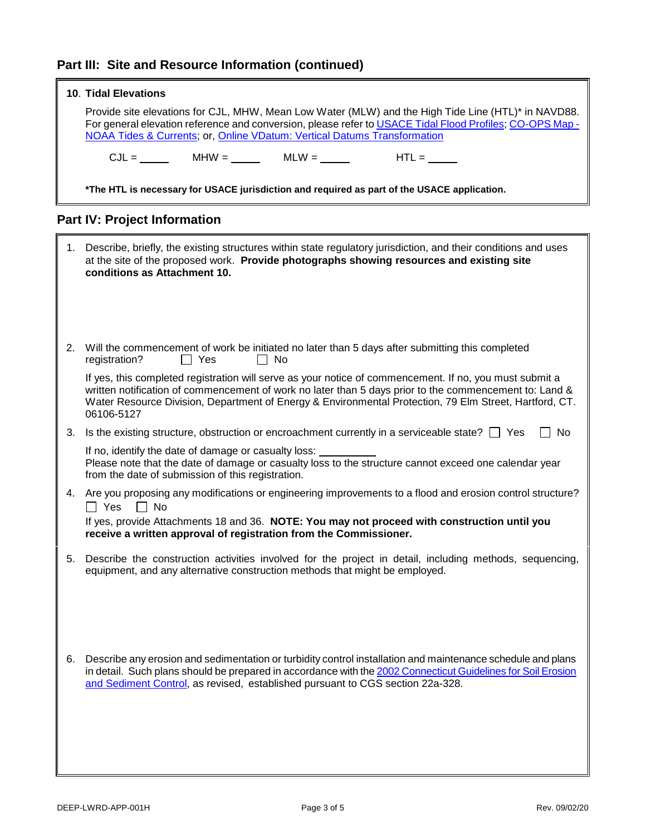### **Part III: Site and Resource Information (continued)**

|    | <b>10. Tidal Elevations</b>                                                                                                                                                                                                                                                                                                               |
|----|-------------------------------------------------------------------------------------------------------------------------------------------------------------------------------------------------------------------------------------------------------------------------------------------------------------------------------------------|
|    | Provide site elevations for CJL, MHW, Mean Low Water (MLW) and the High Tide Line (HTL)* in NAVD88.<br>For general elevation reference and conversion, please refer to USACE Tidal Flood Profiles; CO-OPS Map -<br>NOAA Tides & Currents; or, Online VDatum: Vertical Datums Transformation                                               |
|    | $CJL =$ MHW = MLW = MLW = MLW = HTL = ____                                                                                                                                                                                                                                                                                                |
|    | *The HTL is necessary for USACE jurisdiction and required as part of the USACE application.                                                                                                                                                                                                                                               |
|    | <b>Part IV: Project Information</b>                                                                                                                                                                                                                                                                                                       |
| 1. | Describe, briefly, the existing structures within state regulatory jurisdiction, and their conditions and uses<br>at the site of the proposed work. Provide photographs showing resources and existing site<br>conditions as Attachment 10.                                                                                               |
| 2. | Will the commencement of work be initiated no later than 5 days after submitting this completed<br>registration?<br>$\Box$ Yes<br>$\Box$ No                                                                                                                                                                                               |
|    | If yes, this completed registration will serve as your notice of commencement. If no, you must submit a<br>written notification of commencement of work no later than 5 days prior to the commencement to: Land &<br>Water Resource Division, Department of Energy & Environmental Protection, 79 Elm Street, Hartford, CT.<br>06106-5127 |
| 3. | Is the existing structure, obstruction or encroachment currently in a serviceable state? $\Box$ Yes<br>No                                                                                                                                                                                                                                 |
|    | If no, identify the date of damage or casualty loss:<br>Please note that the date of damage or casualty loss to the structure cannot exceed one calendar year<br>from the date of submission of this registration.                                                                                                                        |
|    | 4. Are you proposing any modifications or engineering improvements to a flood and erosion control structure?<br>$\Box$ Yes<br>$\Box$ No                                                                                                                                                                                                   |
|    | If yes, provide Attachments 18 and 36. NOTE: You may not proceed with construction until you<br>receive a written approval of registration from the Commissioner.                                                                                                                                                                         |
| 5. | Describe the construction activities involved for the project in detail, including methods, sequencing,<br>equipment, and any alternative construction methods that might be employed.                                                                                                                                                    |
| 6. | Describe any erosion and sedimentation or turbidity control installation and maintenance schedule and plans<br>in detail. Such plans should be prepared in accordance with the 2002 Connecticut Guidelines for Soil Erosion<br>and Sediment Control, as revised, established pursuant to CGS section 22a-328.                             |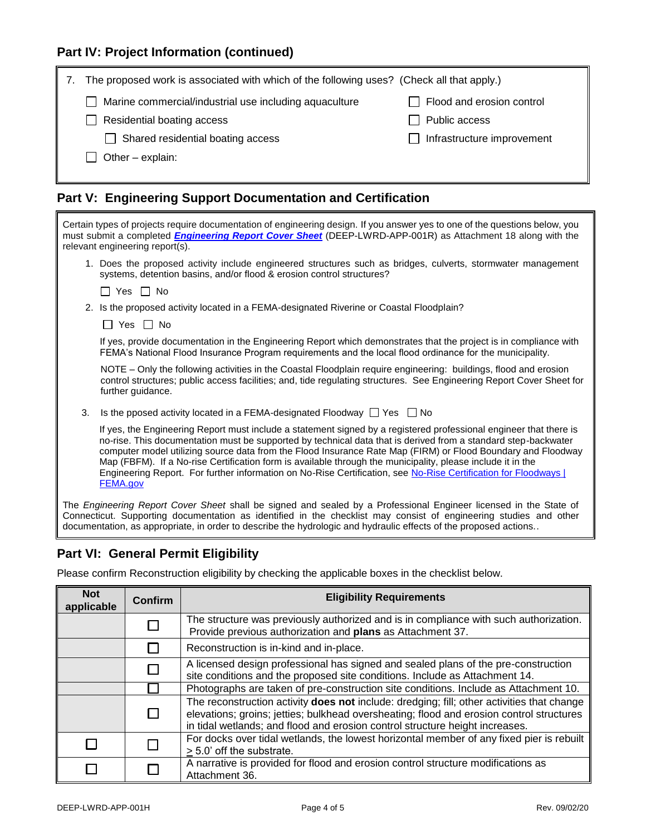### **Part IV: Project Information (continued)**

|                                                        | The proposed work is associated with which of the following uses? (Check all that apply.) |                            |  |
|--------------------------------------------------------|-------------------------------------------------------------------------------------------|----------------------------|--|
| Marine commercial/industrial use including aquaculture |                                                                                           | Flood and erosion control  |  |
|                                                        | Residential boating access                                                                | Public access              |  |
|                                                        | Shared residential boating access                                                         | Infrastructure improvement |  |
|                                                        | Other - explain:                                                                          |                            |  |
|                                                        |                                                                                           |                            |  |

### **Part V: Engineering Support Documentation and Certification**

| Certain types of projects require documentation of engineering design. If you answer yes to one of the questions below, you<br>must submit a completed <i>Engineering Report Cover Sheet</i> (DEEP-LWRD-APP-001R) as Attachment 18 along with the<br>relevant engineering report(s).                                                                                                                                                                                                                                                                                                                      |  |  |
|-----------------------------------------------------------------------------------------------------------------------------------------------------------------------------------------------------------------------------------------------------------------------------------------------------------------------------------------------------------------------------------------------------------------------------------------------------------------------------------------------------------------------------------------------------------------------------------------------------------|--|--|
| 1. Does the proposed activity include engineered structures such as bridges, culverts, stormwater management<br>systems, detention basins, and/or flood & erosion control structures?                                                                                                                                                                                                                                                                                                                                                                                                                     |  |  |
| $\Box$ Yes $\Box$ No                                                                                                                                                                                                                                                                                                                                                                                                                                                                                                                                                                                      |  |  |
| 2. Is the proposed activity located in a FEMA-designated Riverine or Coastal Floodplain?                                                                                                                                                                                                                                                                                                                                                                                                                                                                                                                  |  |  |
| $\Box$ Yes $\Box$ No                                                                                                                                                                                                                                                                                                                                                                                                                                                                                                                                                                                      |  |  |
| If yes, provide documentation in the Engineering Report which demonstrates that the project is in compliance with<br>FEMA's National Flood Insurance Program requirements and the local flood ordinance for the municipality.                                                                                                                                                                                                                                                                                                                                                                             |  |  |
| NOTE – Only the following activities in the Coastal Floodplain require engineering: buildings, flood and erosion<br>control structures; public access facilities; and, tide regulating structures. See Engineering Report Cover Sheet for<br>further guidance.                                                                                                                                                                                                                                                                                                                                            |  |  |
| 3.<br>Is the pposed activity located in a FEMA-designated Floodway $\Box$ Yes $\Box$ No                                                                                                                                                                                                                                                                                                                                                                                                                                                                                                                   |  |  |
| If yes, the Engineering Report must include a statement signed by a registered professional engineer that there is<br>no-rise. This documentation must be supported by technical data that is derived from a standard step-backwater<br>computer model utilizing source data from the Flood Insurance Rate Map (FIRM) or Flood Boundary and Floodway<br>Map (FBFM). If a No-rise Certification form is available through the municipality, please include it in the<br>Engineering Report. For further information on No-Rise Certification, see No-Rise Certification for Floodways  <br><b>FEMA.gov</b> |  |  |
| The Engineering Report Cover Sheet shall be signed and sealed by a Professional Engineer licensed in the State of<br>Connecticut. Supporting documentation as identified in the checklist may consist of engineering studies and other                                                                                                                                                                                                                                                                                                                                                                    |  |  |

### **Part VI: General Permit Eligibility**

Please confirm Reconstruction eligibility by checking the applicable boxes in the checklist below.

documentation, as appropriate, in order to describe the hydrologic and hydraulic effects of the proposed actions..

| <b>Not</b><br>applicable | <b>Confirm</b> | <b>Eligibility Requirements</b>                                                                                                                                                                                                                                        |
|--------------------------|----------------|------------------------------------------------------------------------------------------------------------------------------------------------------------------------------------------------------------------------------------------------------------------------|
|                          |                | The structure was previously authorized and is in compliance with such authorization.<br>Provide previous authorization and plans as Attachment 37.                                                                                                                    |
|                          |                | Reconstruction is in-kind and in-place.                                                                                                                                                                                                                                |
|                          |                | A licensed design professional has signed and sealed plans of the pre-construction<br>site conditions and the proposed site conditions. Include as Attachment 14.                                                                                                      |
|                          |                | Photographs are taken of pre-construction site conditions. Include as Attachment 10.                                                                                                                                                                                   |
|                          |                | The reconstruction activity does not include: dredging; fill; other activities that change<br>elevations; groins; jetties; bulkhead oversheating; flood and erosion control structures<br>in tidal wetlands; and flood and erosion control structure height increases. |
|                          |                | For docks over tidal wetlands, the lowest horizontal member of any fixed pier is rebuilt<br>> 5.0' off the substrate.                                                                                                                                                  |
|                          |                | A narrative is provided for flood and erosion control structure modifications as<br>Attachment 36.                                                                                                                                                                     |